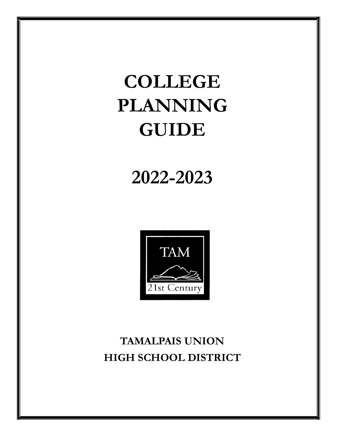# **COLLEGE PLANNING GUIDE**

# **2022-2023**



# **TAMALPAIS UNION HIGH SCHOOL DISTRICT**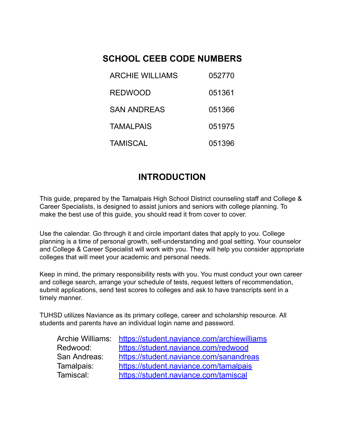# **SCHOOL CEEB CODE NUMBERS**

| <b>ARCHIE WILLIAMS</b> | 052770 |
|------------------------|--------|
| <b>REDWOOD</b>         | 051361 |
| <b>SAN ANDREAS</b>     | 051366 |
| <b>TAMALPAIS</b>       | 051975 |
| <b>TAMISCAL</b>        | 051396 |

# **INTRODUCTION**

This guide, prepared by the Tamalpais High School District counseling staff and College & Career Specialists, is designed to assist juniors and seniors with college planning. To make the best use of this guide, you should read it from cover to cover.

Use the calendar. Go through it and circle important dates that apply to you. College planning is a time of personal growth, self-understanding and goal setting. Your counselor and College & Career Specialist will work with you. They will help you consider appropriate colleges that will meet your academic and personal needs.

Keep in mind, the primary responsibility rests with you. You must conduct your own career and college search, arrange your schedule of tests, request letters of recommendation, submit applications, send test scores to colleges and ask to have transcripts sent in a timely manner.

TUHSD utilizes Naviance as its primary college, career and scholarship resource. All students and parents have an individual login name and password.

| https://student.naviance.com/archiewilliams |
|---------------------------------------------|
| https://student.naviance.com/redwood        |
| https://student.naviance.com/sanandreas     |
| https://student.naviance.com/tamalpais      |
| https://student.naviance.com/tamiscal       |
|                                             |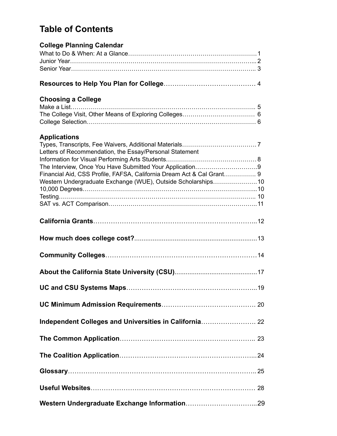# **Table of Contents**

| <b>College Planning Calendar</b>                                      |  |
|-----------------------------------------------------------------------|--|
|                                                                       |  |
|                                                                       |  |
|                                                                       |  |
|                                                                       |  |
| <b>Choosing a College</b>                                             |  |
|                                                                       |  |
|                                                                       |  |
|                                                                       |  |
| <b>Applications</b>                                                   |  |
|                                                                       |  |
| Letters of Recommendation, the Essay/Personal Statement               |  |
|                                                                       |  |
| Financial Aid, CSS Profile, FAFSA, California Dream Act & Cal Grant 9 |  |
| Western Undergraduate Exchange (WUE), Outside Scholarships10          |  |
|                                                                       |  |
|                                                                       |  |
|                                                                       |  |
|                                                                       |  |
|                                                                       |  |
|                                                                       |  |
|                                                                       |  |
|                                                                       |  |
|                                                                       |  |
| Independent Colleges and Universities in California 22                |  |
|                                                                       |  |
|                                                                       |  |
|                                                                       |  |
|                                                                       |  |
|                                                                       |  |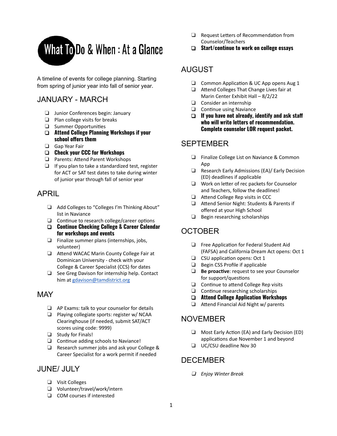

A timeline of events for college planning. Starting from spring of junior year into fall of senior year.

### JANUARY - MARCH

- ❏ Junior Conferences begin: January
- ❏ Plan college visits for breaks
- ❏ Summer Opportunies
- ❏ **Attend College Planning Workshops if your**  $s$ chool offers them
- ❏ Gap Year Fair
- ❏ **Check your CCC for Workshops**
- □ Parents: Attend Parent Workshops
- ❏ If you plan to take a standardized test, register for ACT or SAT test dates to take during winter of junior year through fall of senior year

### APRIL

- ❏ Add Colleges to "Colleges I'm Thinking About" list in Naviance
- $\Box$  Continue to research college/career options
- ❏ **Continue Checking College & Career Calendar for workshops and events**
- ❏ Finalize summer plans (internships, jobs, volunteer)
- □ Attend WACAC Marin County College Fair at Dominican University - check with your College & Career Specialist (CCS) for dates
- ❏ See Greg Davison for internship help. Contact him at gdavison@tamdistrict.org

### **MAY**

- ❏ AP Exams: talk to your counselor for details
- ❏ Playing collegiate sports: register w/ NCAA Clearinghouse (if needed, submit SAT/ACT scores using code: 9999)
- ❏ Study for Finals!
- $\Box$  Continue adding schools to Naviance!
- ❏ Research summer jobs and ask your College & Career Specialist for a work permit if needed

### JUNE/ JULY

- ❏ Visit Colleges
- ❏ Volunteer/travel/work/intern
- ❏ COM courses if interested
- $\Box$  Request Letters of Recommendation from Counselor/Teachers
- ❏ **Start/continue to work on college essays**

### AUGUST

- $\Box$  Common Application & UC App opens Aug 1
- $\Box$  Attend Colleges That Change Lives fair at Marin Center Exhibit Hall – 8/2/22
- ❏ Consider an internship
- $\Box$  Continue using Naviance
- ❏ **If you have not already, identify and ask sta who will write letters of recommendation. Complete counselor LOR request packet.**

### **SEPTEMBER**

- ❏ Finalize College List on Naviance & Common App
- ❏ Research Early Admissions (EA)/ Early Decision (ED) deadlines if applicable
- ❏ Work on leer of rec packets for Counselor and Teachers, follow the deadlines!
- □ Attend College Rep visits in CCC
- ❏ Aend Senior Night: Students & Parents if offered at your High School
- ❏ Begin researching scholarships

# **OCTOBER**

- $\Box$  Free Application for Federal Student Aid (FAFSA) and California Dream Act opens: Oct 1
- $\Box$  CSU application opens: Oct 1
- ❏ Begin CSS Profile if applicable
- □ **Be proactive**: request to see your Counselor for support/questions
- □ Continue to attend College Rep visits
- $\Box$  Continue researching scholarships
- ❏ **Attend College Application Workshops**
- $\Box$  Attend Financial Aid Night w/ parents

### NOVEMBER

- $\Box$  Most Early Action (EA) and Early Decision (ED) applications due November 1 and beyond
- ❏ UC/CSU deadline Nov 30

### DECEMBER

❏ *Enjoy Winter Break*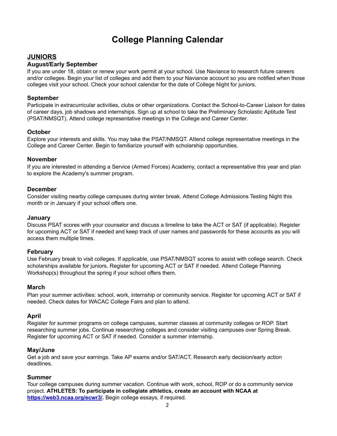# **College Planning Calendar**

### **JUNIORS**

#### **August/Early September**

If you are under 18, obtain or renew your work permit at your school. Use Naviance to research future careers and/or colleges. Begin your list of colleges and add them to your Naviance account so you are notified when those colleges visit your school. Check your school calendar for the date of College Night for juniors.

#### **September**

Participate in extracurricular activities, clubs or other organizations. Contact the School-to-Career Liaison for dates of career days, job shadows and internships. Sign up at school to take the Preliminary Scholastic Aptitude Test (PSAT/NMSQT). Attend college representative meetings in the College and Career Center.

#### **October**

Explore your interests and skills. You may take the PSAT/NMSQT. Attend college representative meetings in the College and Career Center. Begin to familiarize yourself with scholarship opportunities.

#### **November**

If you are interested in attending a Service (Armed Forces) Academy, contact a representative this year and plan to explore the Academy's summer program.

#### **December**

Consider visiting nearby college campuses during winter break. Attend College Admissions Testing Night this month or in January if your school offers one.

#### **January**

Discuss PSAT scores with your counselor and discuss a timeline to take the ACT or SAT (if applicable). Register for upcoming ACT or SAT if needed and keep track of user names and passwords for these accounts as you will access them multiple times.

#### **February**

Use February break to visit colleges. If applicable, use PSAT/NMSQT scores to assist with college search. Check scholarships available for juniors. Register for upcoming ACT or SAT if needed. Attend College Planning Workshop(s) throughout the spring if your school offers them.

#### **March**

Plan your summer activities: school, work, internship or community service. Register for upcoming ACT or SAT if needed. Check dates for WACAC College Fairs and plan to attend.

#### **April**

Register for summer programs on college campuses, summer classes at community colleges or ROP. Start researching summer jobs. Continue researching colleges and consider visiting campuses over Spring Break. Register for upcoming ACT or SAT if needed. Consider a summer internship.

#### **May/June**

Get a job and save your earnings. Take AP exams and/or SAT/ACT. Research early decision/early action deadlines.

#### **Summer**

Tour college campuses during summer vacation. Continue with work, school, ROP or do a community service project. **ATHLETES: To participate in collegiate athletics, create an account with NCAA at https://web3.ncaa.org/ecwr3/.** Begin college essays, if required.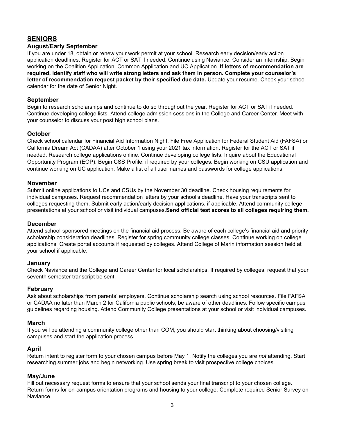### **SENIORS**

#### **August**/**Early September**

If you are under 18, obtain or renew your work permit at your school. Research early decision/early action application deadlines. Register for ACT or SAT if needed. Continue using Naviance. Consider an internship. Begin working on the Coalition Application, Common Application and UC Application. **If letters of recommendation are required, identify staff who will write strong letters and ask them in person. Complete your counselor's letter of recommendation request packet by their specified due date.** Update your resume. Check your school calendar for the date of Senior Night.

#### **September**

Begin to research scholarships and continue to do so throughout the year. Register for ACT or SAT if needed. Continue developing college lists. Attend college admission sessions in the College and Career Center. Meet with your counselor to discuss your post high school plans.

#### **October**

Check school calendar for Financial Aid Information Night. File Free Application for Federal Student Aid (FAFSA) or California Dream Act (CADAA) after October 1 using your 2021 tax information. Register for the ACT or SAT if needed. Research college applications online. Continue developing college lists. Inquire about the Educational Opportunity Program (EOP). Begin CSS Profile, if required by your colleges. Begin working on CSU application and continue working on UC application. Make a list of all user names and passwords for college applications.

#### **November**

Submit online applications to UCs and CSUs by the November 30 deadline. Check housing requirements for individual campuses. Request recommendation letters by your school's deadline. Have your transcripts sent to colleges requesting them. Submit early action/early decision applications, if applicable. Attend community college presentations at your school or visit individual campuses.**Send official test scores to all colleges requiring them.**

#### **December**

Attend school-sponsored meetings on the financial aid process. Be aware of each college's financial aid and priority scholarship consideration deadlines. Register for spring community college classes. Continue working on college applications. Create portal accounts if requested by colleges. Attend College of Marin information session held at your school if applicable.

#### **January**

Check Naviance and the College and Career Center for local scholarships. If required by colleges, request that your seventh semester transcript be sent.

#### **February**

Ask about scholarships from parents' employers. Continue scholarship search using school resources. File FAFSA or CADAA no later than March 2 for California public schools; be aware of other deadlines. Follow specific campus guidelines regarding housing. Attend Community College presentations at your school or visit individual campuses.

#### **March**

If you will be attending a community college other than COM, you should start thinking about choosing/visiting campuses and start the application process.

#### **April**

Return intent to register form to your chosen campus before May 1. Notify the colleges you are *not* attending. Start researching summer jobs and begin networking. Use spring break to visit prospective college choices.

#### **May/June**

Fill out necessary request forms to ensure that your school sends your final transcript to your chosen college. Return forms for on-campus orientation programs and housing to your college. Complete required Senior Survey on Naviance.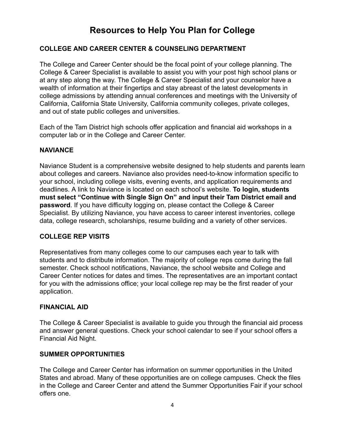# **Resources to Help You Plan for College**

### **COLLEGE AND CAREER CENTER & COUNSELING DEPARTMENT**

The College and Career Center should be the focal point of your college planning. The College & Career Specialist is available to assist you with your post high school plans or at any step along the way. The College & Career Specialist and your counselor have a wealth of information at their fingertips and stay abreast of the latest developments in college admissions by attending annual conferences and meetings with the University of California, California State University, California community colleges, private colleges, and out of state public colleges and universities.

Each of the Tam District high schools offer application and financial aid workshops in a computer lab or in the College and Career Center.

### **NAVIANCE**

Naviance Student is a comprehensive website designed to help students and parents learn about colleges and careers. Naviance also provides need-to-know information specific to your school, including college visits, evening events, and application requirements and deadlines. A link to Naviance is located on each school's website. **To login, students must select "Continue with Single Sign On" and input their Tam District email and password**. If you have difficulty logging on, please contact the College & Career Specialist. By utilizing Naviance, you have access to career interest inventories, college data, college research, scholarships, resume building and a variety of other services.

### **COLLEGE REP VISITS**

Representatives from many colleges come to our campuses each year to talk with students and to distribute information. The majority of college reps come during the fall semester. Check school notifications, Naviance, the school website and College and Career Center notices for dates and times. The representatives are an important contact for you with the admissions office; your local college rep may be the first reader of your application.

### **FINANCIAL AID**

The College & Career Specialist is available to guide you through the financial aid process and answer general questions. Check your school calendar to see if your school offers a Financial Aid Night.

### **SUMMER OPPORTUNITIES**

The College and Career Center has information on summer opportunities in the United States and abroad. Many of these opportunities are on college campuses. Check the files in the College and Career Center and attend the Summer Opportunities Fair if your school offers one.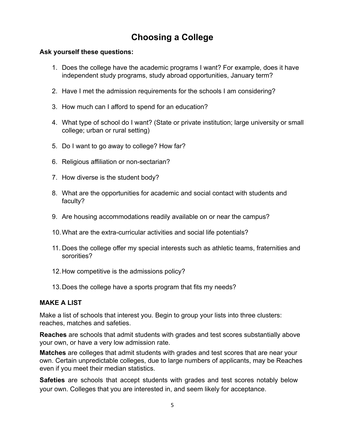# **Choosing a College**

### **Ask yourself these questions:**

- 1. Does the college have the academic programs I want? For example, does it have independent study programs, study abroad opportunities, January term?
- 2. Have I met the admission requirements for the schools I am considering?
- 3. How much can I afford to spend for an education?
- 4. What type of school do I want? (State or private institution; large university or small college; urban or rural setting)
- 5. Do I want to go away to college? How far?
- 6. Religious affiliation or non-sectarian?
- 7. How diverse is the student body?
- 8. What are the opportunities for academic and social contact with students and faculty?
- 9. Are housing accommodations readily available on or near the campus?
- 10.What are the extra-curricular activities and social life potentials?
- 11. Does the college offer my special interests such as athletic teams, fraternities and sororities?
- 12.How competitive is the admissions policy?
- 13.Does the college have a sports program that fits my needs?

### **MAKE A LIST**

Make a list of schools that interest you. Begin to group your lists into three clusters: reaches, matches and safeties.

**Reaches** are schools that admit students with grades and test scores substantially above your own, or have a very low admission rate.

**Matches** are colleges that admit students with grades and test scores that are near your own. Certain unpredictable colleges, due to large numbers of applicants, may be Reaches even if you meet their median statistics.

**Safeties** are schools that accept students with grades and test scores notably below your own. Colleges that you are interested in, and seem likely for acceptance.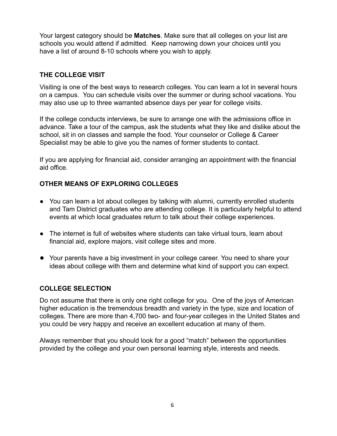Your largest category should be **Matches**. Make sure that all colleges on your list are schools you would attend if admitted. Keep narrowing down your choices until you have a list of around 8-10 schools where you wish to apply.

### **THE COLLEGE VISIT**

Visiting is one of the best ways to research colleges. You can learn a lot in several hours on a campus. You can schedule visits over the summer or during school vacations. You may also use up to three warranted absence days per year for college visits.

If the college conducts interviews, be sure to arrange one with the admissions office in advance. Take a tour of the campus, ask the students what they like and dislike about the school, sit in on classes and sample the food. Your counselor or College & Career Specialist may be able to give you the names of former students to contact.

If you are applying for financial aid, consider arranging an appointment with the financial aid office.

### **OTHER MEANS OF EXPLORING COLLEGES**

- You can learn a lot about colleges by talking with alumni, currently enrolled students and Tam District graduates who are attending college. It is particularly helpful to attend events at which local graduates return to talk about their college experiences.
- The internet is full of websites where students can take virtual tours, learn about financial aid, explore majors, visit college sites and more.
- Your parents have a big investment in your college career. You need to share your ideas about college with them and determine what kind of support you can expect.

### **COLLEGE SELECTION**

Do not assume that there is only one right college for you. One of the joys of American higher education is the tremendous breadth and variety in the type, size and location of colleges. There are more than 4,700 two- and four-year colleges in the United States and you could be very happy and receive an excellent education at many of them.

Always remember that you should look for a good "match" between the opportunities provided by the college and your own personal learning style, interests and needs.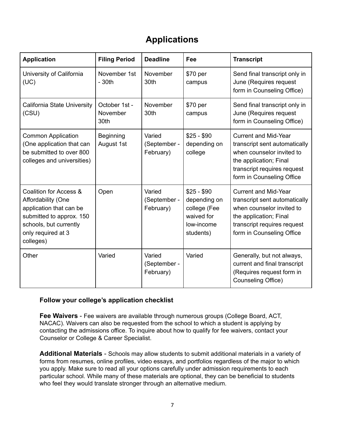# **Applications**

| <b>Application</b>                                                                                                                                               | <b>Filing Period</b>              | <b>Deadline</b>                     | Fee                                                                                  | <b>Transcript</b>                                                                                                                                                               |
|------------------------------------------------------------------------------------------------------------------------------------------------------------------|-----------------------------------|-------------------------------------|--------------------------------------------------------------------------------------|---------------------------------------------------------------------------------------------------------------------------------------------------------------------------------|
| University of California<br>(UC)                                                                                                                                 | November 1st<br>$-30th$           | November<br>30th                    | \$70 per<br>campus                                                                   | Send final transcript only in<br>June (Requires request<br>form in Counseling Office)                                                                                           |
| California State University<br>(CSU)                                                                                                                             | October 1st -<br>November<br>30th | November<br>30th                    | \$70 per<br>campus                                                                   | Send final transcript only in<br>June (Requires request<br>form in Counseling Office)                                                                                           |
| <b>Common Application</b><br>(One application that can<br>be submitted to over 800<br>colleges and universities)                                                 | Beginning<br>August 1st           | Varied<br>(September -<br>February) | $$25 - $90$<br>depending on<br>college                                               | <b>Current and Mid-Year</b><br>transcript sent automatically<br>when counselor invited to<br>the application; Final<br>transcript requires request<br>form in Counseling Office |
| Coalition for Access &<br>Affordability (One<br>application that can be<br>submitted to approx. 150<br>schools, but currently<br>only required at 3<br>colleges) | Open                              | Varied<br>(September -<br>February) | $$25 - $90$<br>depending on<br>college (Fee<br>waived for<br>low-income<br>students) | <b>Current and Mid-Year</b><br>transcript sent automatically<br>when counselor invited to<br>the application; Final<br>transcript requires request<br>form in Counseling Office |
| Other                                                                                                                                                            | Varied                            | Varied<br>(September -<br>February) | Varied                                                                               | Generally, but not always,<br>current and final transcript<br>(Requires request form in<br>Counseling Office)                                                                   |

### **Follow your college's application checklist**

**Fee Waivers** - Fee waivers are available through numerous groups (College Board, ACT, NACAC). Waivers can also be requested from the school to which a student is applying by contacting the admissions office. To inquire about how to qualify for fee waivers, contact your Counselor or College & Career Specialist.

**Additional Materials** - Schools may allow students to submit additional materials in a variety of forms from resumes, online profiles, video essays, and portfolios regardless of the major to which you apply. Make sure to read all your options carefully under admission requirements to each particular school. While many of these materials are optional, they can be beneficial to students who feel they would translate stronger through an alternative medium.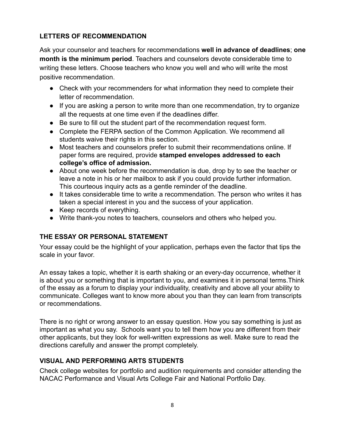### **LETTERS OF RECOMMENDATION**

Ask your counselor and teachers for recommendations **well in advance of deadlines**; **one month is the minimum period**. Teachers and counselors devote considerable time to writing these letters. Choose teachers who know you well and who will write the most positive recommendation.

- Check with your recommenders for what information they need to complete their letter of recommendation.
- If you are asking a person to write more than one recommendation, try to organize all the requests at one time even if the deadlines differ.
- Be sure to fill out the student part of the recommendation request form.
- Complete the FERPA section of the Common Application. We recommend all students waive their rights in this section.
- Most teachers and counselors prefer to submit their recommendations online. If paper forms are required, provide **stamped envelopes addressed to each college's office of admission.**
- About one week before the recommendation is due, drop by to see the teacher or leave a note in his or her mailbox to ask if you could provide further information. This courteous inquiry acts as a gentle reminder of the deadline.
- It takes considerable time to write a recommendation. The person who writes it has taken a special interest in you and the success of your application.
- Keep records of everything.
- Write thank-you notes to teachers, counselors and others who helped you.

### **THE ESSAY OR PERSONAL STATEMENT**

Your essay could be the highlight of your application, perhaps even the factor that tips the scale in your favor.

An essay takes a topic, whether it is earth shaking or an every-day occurrence, whether it is about you or something that is important to you, and examines it in personal terms.Think of the essay as a forum to display your individuality, creativity and above all your ability to communicate. Colleges want to know more about you than they can learn from transcripts or recommendations.

There is no right or wrong answer to an essay question. How you say something is just as important as what you say. Schools want you to tell them how you are different from their other applicants, but they look for well-written expressions as well. Make sure to read the directions carefully and answer the prompt completely.

### **VISUAL AND PERFORMING ARTS STUDENTS**

Check college websites for portfolio and audition requirements and consider attending the NACAC Performance and Visual Arts College Fair and National Portfolio Day.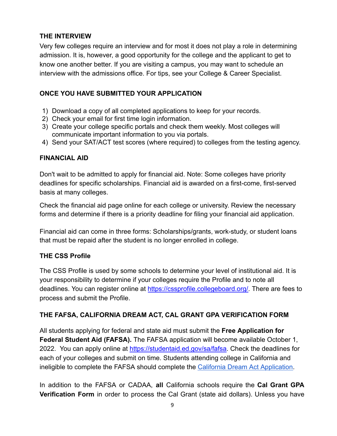### **THE INTERVIEW**

Very few colleges require an interview and for most it does not play a role in determining admission. It is, however, a good opportunity for the college and the applicant to get to know one another better. If you are visiting a campus, you may want to schedule an interview with the admissions office. For tips, see your College & Career Specialist.

### **ONCE YOU HAVE SUBMITTED YOUR APPLICATION**

- 1) Download a copy of all completed applications to keep for your records.
- 2) Check your email for first time login information.
- 3) Create your college specific portals and check them weekly. Most colleges will communicate important information to you via portals.
- 4) Send your SAT/ACT test scores (where required) to colleges from the testing agency.

### **FINANCIAL AID**

Don't wait to be admitted to apply for financial aid. Note: Some colleges have priority deadlines for specific scholarships. Financial aid is awarded on a first-come, first-served basis at many colleges.

Check the financial aid page online for each college or university. Review the necessary forms and determine if there is a priority deadline for filing your financial aid application.

Financial aid can come in three forms: Scholarships/grants, work-study, or student loans that must be repaid after the student is no longer enrolled in college.

### **THE CSS Profile**

The CSS Profile is used by some schools to determine your level of institutional aid. It is your responsibility to determine if your colleges require the Profile and to note all deadlines. You can register online at https://cssprofile.collegeboard.org/. There are fees to process and submit the Profile.

### **THE FAFSA, CALIFORNIA DREAM ACT, CAL GRANT GPA VERIFICATION FORM**

All students applying for federal and state aid must submit the **Free Application for Federal Student Aid (FAFSA).** The FAFSA application will become available October 1, 2022. You can apply online at https://studentaid.ed.gov/sa/fafsa. Check the deadlines for each of your colleges and submit on time. Students attending college in California and ineligible to complete the FAFSA should complete the California Dream Act Application.

In addition to the FAFSA or CADAA, **all** California schools require the **Cal Grant GPA Verification Form** in order to process the Cal Grant (state aid dollars). Unless you have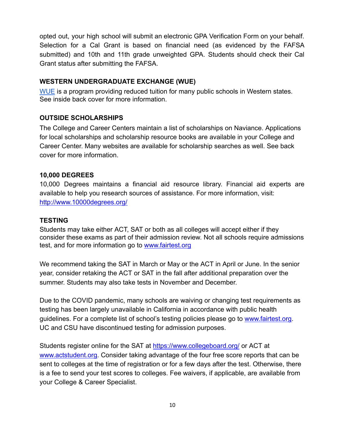opted out, your high school will submit an electronic GPA Verification Form on your behalf. Selection for a Cal Grant is based on financial need (as evidenced by the FAFSA submitted) and 10th and 11th grade unweighted GPA. Students should check their Cal Grant status after submitting the FAFSA.

### **WESTERN UNDERGRADUATE EXCHANGE (WUE)**

WUE is a program providing reduced tuition for many public schools in Western states. See inside back cover for more information.

### **OUTSIDE SCHOLARSHIPS**

The College and Career Centers maintain a list of scholarships on Naviance. Applications for local scholarships and scholarship resource books are available in your College and Career Center. Many websites are available for scholarship searches as well. See back cover for more information.

### **10,000 DEGREES**

10,000 Degrees maintains a financial aid resource library. Financial aid experts are available to help you research sources of assistance. For more information, visit: http://www.10000degrees.org/

### **TESTING**

Students may take either ACT, SAT or both as all colleges will accept either if they consider these exams as part of their admission review. Not all schools require admissions test, and for more information go to www.fairtest.org

We recommend taking the SAT in March or May or the ACT in April or June. In the senior year, consider retaking the ACT or SAT in the fall after additional preparation over the summer. Students may also take tests in November and December.

Due to the COVID pandemic, many schools are waiving or changing test requirements as testing has been largely unavailable in California in accordance with public health guidelines. For a complete list of school's testing policies please go to www.fairtest.org. UC and CSU have discontinued testing for admission purposes.

Students register online for the SAT at https://www.collegeboard.org/ or ACT at www.actstudent.org. Consider taking advantage of the four free score reports that can be sent to colleges at the time of registration or for a few days after the test. Otherwise, there is a fee to send your test scores to colleges. Fee waivers, if applicable, are available from your College & Career Specialist.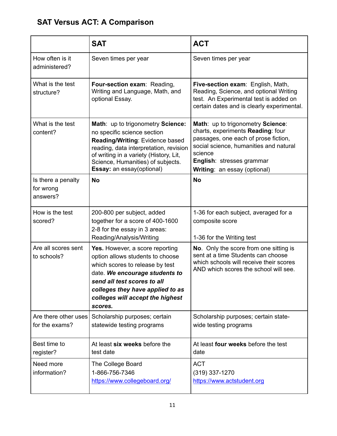# **SAT Versus ACT: A Comparison**

|                                             | <b>SAT</b>                                                                                                                                                                                                                                                 | <b>ACT</b>                                                                                                                                                                                                                       |
|---------------------------------------------|------------------------------------------------------------------------------------------------------------------------------------------------------------------------------------------------------------------------------------------------------------|----------------------------------------------------------------------------------------------------------------------------------------------------------------------------------------------------------------------------------|
| How often is it<br>administered?            | Seven times per year                                                                                                                                                                                                                                       | Seven times per year                                                                                                                                                                                                             |
| What is the test<br>structure?              | Four-section exam: Reading,<br>Writing and Language, Math, and<br>optional Essay.                                                                                                                                                                          | Five-section exam: English, Math,<br>Reading, Science, and optional Writing<br>test. An Experimental test is added on<br>certain dates and is clearly experimental.                                                              |
| What is the test<br>content?                | Math: up to trigonometry Science:<br>no specific science section<br>Reading/Writing: Evidence based<br>reading, data interpretation, revision<br>of writing in a variety (History, Lit,<br>Science, Humanities) of subjects.<br>Essay: an essay(optional)  | Math: up to trigonometry Science:<br>charts, experiments Reading: four<br>passages, one each of prose fiction,<br>social science, humanities and natural<br>science<br>English: stresses grammar<br>Writing: an essay (optional) |
| Is there a penalty<br>for wrong<br>answers? | <b>No</b>                                                                                                                                                                                                                                                  | <b>No</b>                                                                                                                                                                                                                        |
| How is the test<br>scored?                  | 200-800 per subject, added<br>together for a score of 400-1600<br>2-8 for the essay in 3 areas:<br>Reading/Analysis/Writing                                                                                                                                | 1-36 for each subject, averaged for a<br>composite score<br>1-36 for the Writing test                                                                                                                                            |
| Are all scores sent<br>to schools?          | Yes. However, a score reporting<br>option allows students to choose<br>which scores to release by test<br>date. We encourage students to<br>send all test scores to all<br>colleges they have applied to as<br>colleges will accept the highest<br>scores. | No. Only the score from one sitting is<br>sent at a time Students can choose<br>which schools will receive their scores<br>AND which scores the school will see.                                                                 |
| Are there other uses<br>for the exams?      | Scholarship purposes; certain<br>statewide testing programs                                                                                                                                                                                                | Scholarship purposes; certain state-<br>wide testing programs                                                                                                                                                                    |
| Best time to<br>register?                   | At least six weeks before the<br>test date                                                                                                                                                                                                                 | At least four weeks before the test<br>date                                                                                                                                                                                      |
| Need more<br>information?                   | The College Board<br>1-866-756-7346<br>https://www.collegeboard.org/                                                                                                                                                                                       | <b>ACT</b><br>$(319)$ 337-1270<br>https://www.actstudent.org                                                                                                                                                                     |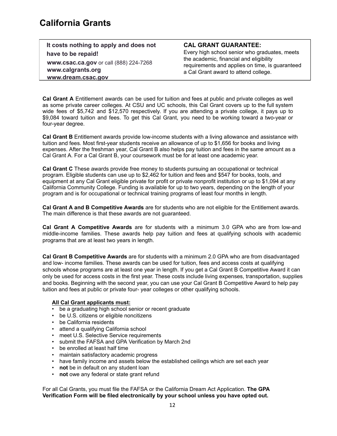| It costs nothing to apply and does not |
|----------------------------------------|
| have to be repaid!                     |
| www.csac.ca.gov or call (888) 224-7268 |
| www.calgrants.org                      |
| www.dream.csac.gov                     |

#### **CAL GRANT GUARANTEE:**

Every high school senior who graduates, meets the academic, financial and eligibility requirements and applies on time, is guaranteed a Cal Grant award to attend college.

**Cal Grant A** Entitlement awards can be used for tuition and fees at public and private colleges as well as some private career colleges. At CSU and UC schools, this Cal Grant covers up to the full system wide fees of \$5,742 and \$12,570 respectively. If you are attending a private college, it pays up to \$9,084 toward tuition and fees. To get this Cal Grant, you need to be working toward a two-year or four-year degree.

**Cal Grant B** Entitlement awards provide low-income students with a living allowance and assistance with tuition and fees. Most first-year students receive an allowance of up to \$1,656 for books and living expenses. After the freshman year, Cal Grant B also helps pay tuition and fees in the same amount as a Cal Grant A. For a Cal Grant B, your coursework must be for at least one academic year.

**Cal Grant C** These awards provide free money to students pursuing an occupational or technical program. Eligible students can use up to \$2,462 for tuition and fees and \$547 for books, tools, and equipment at any Cal Grant eligible private for profit or private nonprofit institution or up to \$1,094 at any California Community College. Funding is available for up to two years, depending on the length of your program and is for occupational or technical training programs of least four months in length.

**Cal Grant A and B Competitive Awards** are for students who are not eligible for the Entitlement awards. The main difference is that these awards are not guaranteed.

**Cal Grant A Competitive Awards** are for students with a minimum 3.0 GPA who are from low-and middle-income families. These awards help pay tuition and fees at qualifying schools with academic programs that are at least two years in length.

**Cal Grant B Competitive Awards** are for students with a minimum 2.0 GPA who are from disadvantaged and low- income families. These awards can be used for tuition, fees and access costs at qualifying schools whose programs are at least one year in length. If you get a Cal Grant B Competitive Award it can only be used for access costs in the first year. These costs include living expenses, transportation, supplies and books. Beginning with the second year, you can use your Cal Grant B Competitive Award to help pay tuition and fees at public or private four- year colleges or other qualifying schools.

#### **All Cal Grant applicants must:**

- be a graduating high school senior or recent graduate
- be U.S. citizens or eligible noncitizens
- be California residents
- attend a qualifying California school
- meet U.S. Selective Service requirements
- submit the FAFSA and GPA Verification by March 2nd
- be enrolled at least half time
- maintain satisfactory academic progress
- have family income and assets below the established ceilings which are set each year
- **not** be in default on any student loan
- **not** owe any federal or state grant refund

For all Cal Grants, you must file the FAFSA or the California Dream Act Application. **The GPA Verification Form will be filed electronically by your school unless you have opted out.**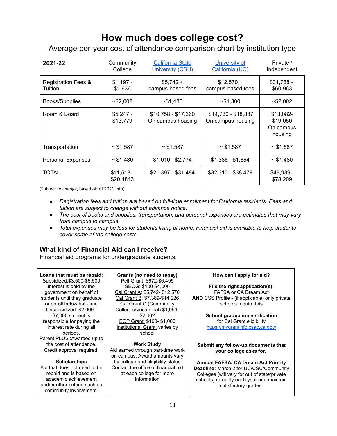# **How much does college cost?**

Average per-year cost of attendance comparison chart by institution type

| 2021-22                                   | Community<br>College     | <b>California State</b><br>University (CSU) | University of<br>California (UC)         | Private /<br>Independent                      |
|-------------------------------------------|--------------------------|---------------------------------------------|------------------------------------------|-----------------------------------------------|
| <b>Registration Fees &amp;</b><br>Tuition | $$1,197 -$<br>\$1,636    | $$5,742+$<br>campus-based fees              | $$12,570 +$<br>campus-based fees         | $$31,788 -$<br>\$60,963                       |
| Books/Supplies                            | ~52,002                  | ~51,486                                     | ~51,300                                  | ~52,002                                       |
| Room & Board                              | $$5.247 -$<br>\$13,779   | $$10,758 - $17,360$<br>On campus housing    | \$14,730 - \$18,887<br>On campus housing | \$13,082-<br>\$19,050<br>On campus<br>housing |
| Transportation                            | $\sim$ \$1,587           | ~51,587                                     | ~51,587                                  | $\sim$ \$1,587                                |
| <b>Personal Expenses</b>                  | ~51,480                  | $$1,010 - $2,774$                           | $$1,386 - $1,854$                        | ~51,480                                       |
| TOTAL                                     | $$11,513 -$<br>\$20,4843 | \$21,397 - \$31,484                         | \$32,310 - \$38,478                      | \$49,939 -<br>\$78,209                        |

(Subject to change, based off of 2021 info)

- *● Registration fees and tuition are based on full-time enrollment for California residents. Fees and tuition are subject to change without advance notice.*
- *● The cost of books and supplies, transportation, and personal expenses are estimates that may vary from campus to campus.*
- Total expenses may be less for students living at home. Financial aid is available to help students *cover some of the college costs.*

### **What kind of Financial Aid can I receive?**

Financial aid programs for undergraduate students:

#### **Loans that must be repaid:**

Subsidized:\$3,500-\$5,500 interest is paid by the government on behalf of students until they graduate or enroll below half-time Unsubsidized: \$2,000 - \$7,000 student is responsible for paying the interest rate during all periods. Parent PLUS :Awarded up to the cost of attendance. Credit approval required

#### **Scholarships**

Aid that does not need to be repaid and is based on academic achievement and/or other criteria such as community involvement.

**Grants (no need to repay)** Pell Grant: \$672-\$6,495 SEOG: \$100-\$4,000 Cal Grant A: \$5,742- \$12,570 Cal Grant B: \$7,389-\$14,226 Cal Grant C (Community Colleges/Vocational):\$1,094- \$2,462 EOP Grant: \$100- \$1,000 Institutional Grant: varies by school

#### **Work Study**

Aid earned through part-time work on campus. Award amounts vary by college and eligibility status Contact the office of financial aid at each college for more information

#### **How can I apply for aid?**

**File the right application(s):** FAFSA or CA Dream Act **AND** CSS Profile - (if applicable) only private schools require this

> **Submit graduation verification** for Cal Grant eligibility https://mygrantinfo.csac.ca.gov/

**Submit any follow-up documents that your college asks for.** 

**Annual FAFSA/ CA Dream Act Priority Deadline:** March 2 for UC/CSU/Community Colleges (will vary for out of state/private schools) re-apply each year and maintain satisfactory grades.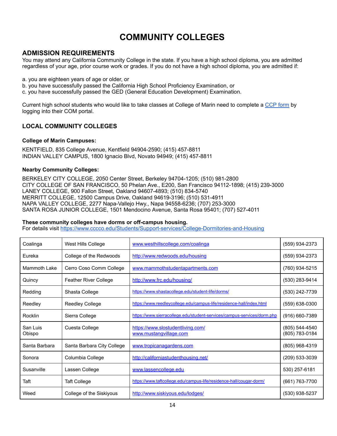# **COMMUNITY COLLEGES**

### **ADMISSION REQUIREMENTS**

You may attend any California Community College in the state. If you have a high school diploma, you are admitted regardless of your age, prior course work or grades. If you do not have a high school diploma, you are admitted if:

- a. you are eighteen years of age or older, or
- b. you have successfully passed the California High School Proficiency Examination, or
- c. you have successfully passed the GED (General Education Development) Examination.

Current high school students who would like to take classes at College of Marin need to complete a CCP form by logging into their COM portal.

#### **LOCAL COMMUNITY COLLEGES**

#### **College of Marin Campuses:**

KENTFIELD, 835 College Avenue, Kentfield 94904-2590; (415) 457-8811 INDIAN VALLEY CAMPUS, 1800 Ignacio Blvd, Novato 94949; (415) 457-8811

#### **Nearby Community Colleges:**

BERKELEY CITY COLLEGE, 2050 Center Street, Berkeley 94704-1205; (510) 981-2800 CITY COLLEGE OF SAN FRANCISCO, 50 Phelan Ave., E200, San Francisco 94112-1898; (415) 239-3000 LANEY COLLEGE, 900 Fallon Street, Oakland 94607-4893; (510) 834-5740 MERRITT COLLEGE, 12500 Campus Drive, Oakland 94619-3196; (510) 531-4911 NAPA VALLEY COLLEGE, 2277 Napa-Vallejo Hwy., Napa 94558-6236; (707) 253-3000 SANTA ROSA JUNIOR COLLEGE, 1501 Mendocino Avenue, Santa Rosa 95401; (707) 527-4011

#### **These community colleges have dorms or off-campus housing.**

For details visit https://www.cccco.edu/Students/Support-services/College-Dormitories-and-Housing

| Coalinga           | West Hills College           | www.westhillscollege.com/coalinga                                       | (559) 934-2373                   |
|--------------------|------------------------------|-------------------------------------------------------------------------|----------------------------------|
| Eureka             | College of the Redwoods      | http://www.redwoods.edu/housing                                         | (559) 934-2373                   |
| Mammoth Lake       | Cerro Coso Comm College      | www.mammothstudentapartments.com                                        | (760) 934-5215                   |
| Quincy             | <b>Feather River College</b> | http://www.frc.edu/housing/                                             | (530) 283-9414                   |
| Redding            | Shasta College               | https://www.shastacollege.edu/student-life/dorms/                       | (530) 242-7739                   |
| Reedley            | <b>Reedley College</b>       | https://www.reedleycollege.edu/campus-life/residence-hall/index.html    | (559) 638-0300                   |
| Rocklin            | Sierra College               | https://www.sierracollege.edu/student-services/campus-services/dorm.php | (916) 660-7389                   |
| San Luis<br>Obispo | Cuesta College               | https://www.slostudentliving.com/<br>www.mustangvillage.com             | (805) 544-4540<br>(805) 783-0184 |
| Santa Barbara      | Santa Barbara City College   | www.tropicanagardens.com                                                | (805) 968-4319                   |
| Sonora             | Columbia College             | http://californiastudenthousing.net/                                    | (209) 533-3039                   |
| Susanville         | Lassen College               | www.lassencollege.edu                                                   | 530) 257-6181                    |
| Taft               | <b>Taft College</b>          | https://www.taftcollege.edu/campus-life/residence-hall/cougar-dorm/     | (661) 763-7700                   |
| Weed               | College of the Siskiyous     | http://www.siskiyous.edu/lodges/                                        | (530) 938-5237                   |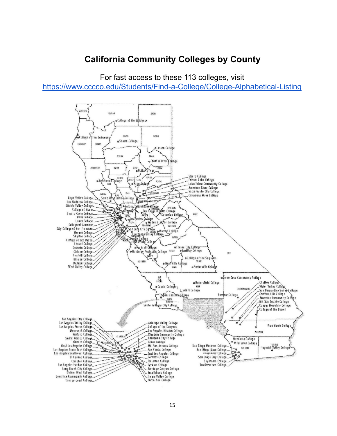# **California Community Colleges by County**

For fast access to these 113 colleges, visit

https://www.cccco.edu/Students/Find-a-College/College-Alphabetical-Listing

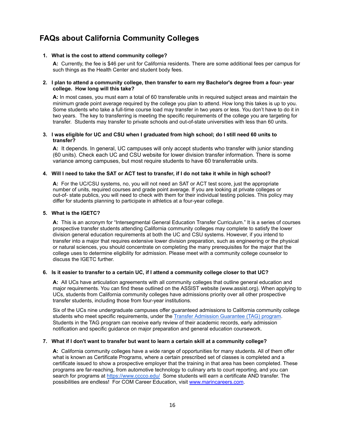### **FAQs about California Community Colleges**

#### **1. What is the cost to attend community college?**

**A:** Currently, the fee is \$46 per unit for California residents. There are some additional fees per campus for such things as the Health Center and student body fees.

#### 2. I plan to attend a community college, then transfer to earn my Bachelor's degree from a four- year **college. How long will this take?**

**A:** In most cases, you must earn a total of 60 transferable units in required subject areas and maintain the minimum grade point average required by the college you plan to attend. How long this takes is up to you. Some students who take a full-time course load may transfer in two years or less. You don't have to do it in two years. The key to transferring is meeting the specific requirements of the college you are targeting for transfer. Students may transfer to private schools and out-of-state universities with less than 60 units.

#### 3. I was eligible for UC and CSU when I graduated from high school; do I still need 60 units to **transfer?**

**A:** It depends. In general, UC campuses will only accept students who transfer with junior standing (60 units). Check each UC and CSU website for lower division transfer information. There is some variance among campuses, but most require students to have 60 transferrable units.

#### 4. Will I need to take the SAT or ACT test to transfer, if I do not take it while in high school?

**A:** For the UC/CSU systems, no, you will not need an SAT or ACT test score, just the appropriate number of units, required courses and grade point average. If you are looking at private colleges or out-of- state publics, you will need to check with them for their individual testing policies. This policy may differ for students planning to participate in athletics at a four-year college.

#### **5. What is the IGETC?**

**A:** This is an acronym for "Intersegmental General Education Transfer Curriculum." It is a series of courses prospective transfer students attending California community colleges may complete to satisfy the lower division general education requirements at both the UC and CSU systems. However, if you intend to transfer into a major that requires extensive lower division preparation, such as engineering or the physical or natural sciences, you should concentrate on completing the many prerequisites for the major that the college uses to determine eligibility for admission. Please meet with a community college counselor to discuss the IGETC further.

#### 6. Is it easier to transfer to a certain UC, if I attend a community college closer to that UC?

**A:** All UCs have articulation agreements with all community colleges that outline general education and major requirements. You can find these outlined on the ASSIST website (www.assist.org). When applying to UCs, students from California community colleges have admissions priority over all other prospective transfer students, including those from four-year institutions.

Six of the UCs nine undergraduate campuses offer guaranteed admissions to California community college students who meet specific requirements, under the Transfer Admission Guarantee (TAG) program. Students in the TAG program can receive early review of their academic records, early admission notification and specific guidance on major preparation and general education coursework.

#### 7. What if I don't want to transfer but want to learn a certain skill at a community college?

**A:** California community colleges have a wide range of opportunities for many students. All of them offer what is known as Certificate Programs, where a certain prescribed set of classes is completed and a certificate issued to show a prospective employer that the training in that area has been completed. These programs are far-reaching, from automotive technology to culinary arts to court reporting, and you can search for programs at https://www.cccco.edu/ Some students will earn a certificate AND transfer. The possibilities are endless! For COM Career Education, visit www.marincareers.com.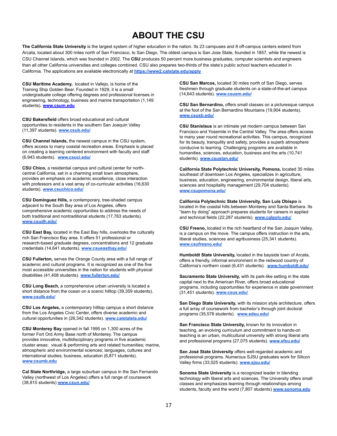# **ABOUT THE CSU**

**The California State University** is the largest system of higher education in the nation. Its 23 campuses and 8 off-campus centers extend from Arcata, located about 300 miles north of San Francisco, to San Diego. The oldest campus is San Jose State, founded in 1857, while the newest is CSU Channel Islands, which was founded in 2002. The **CSU** produces 50 percent more business graduates, computer scientists and engineers than all other California universities and colleges combined. CSU also prepares two-thirds of the state's public school teachers educated in California. The applications are available electronically at **https://www2.calstate.edu/apply**

**CSU Maritime Academy,** located in Vallejo, is home of the Training Ship Golden Bear. Founded in 1929, it is a small undergraduate college offering degrees and professional licenses in engineering, technology, business and marine transportation (1,149 students). **www.csum.edu**

**CSU Bakersfield** offers broad educational and cultural opportunities to residents in the southern San Joaquin Valley (11,397 students). **www.csub.edu/**

**CSU Channel Islands,** the newest campus in the CSU system, offers access to many coastal recreation areas. Emphasis is placed on creating a learning centered environment with faculty and staff (6,943 students). **www.csuci.edu/**

**CSU Chico,** a residential campus and cultural center for northcentral California, set in a charming small town atmosphere, provides an emphasis on academic excellence, close interaction with professors and a vast array of co-curricular activities (16,630 students). **www.csuchico.edu/**

**CSU Dominguez Hills,** a contemporary, tree-shaded campus adjacent to the South Bay area of Los Angeles, offers comprehensive academic opportunities to address the needs of both traditional and nontraditional students (17,763 students). **www.csudh.edu/**

**CSU East Bay,** located in the East Bay hills, overlooks the culturally rich San Francisco Bay area. It offers 51 professional or research-based graduate degrees, concentrations and 12 graduate credentials (14,641 students). **www.csueastbay.edu/**

**CSU Fullerton,** serves the Orange County area with a full range of academic and cultural programs. It is recognized as one of the five most accessible universities in the nation for students with physical disabilities (41,408 students). **www.fullerton.edu/**

**CSU Long Beach,** a comprehensive urban university is located a short distance from the ocean on a scenic hilltop (39,359 students). **www.csulb.edu/**

**CSU Los Angeles,** a contemporary hilltop campus a short distance from the Los Angeles Civic Center, offers diverse academic and cultural opportunities in (26,342 students). **www.calstatela.edu/**

**CSU Monterey Bay** opened in fall 1995 on 1,300 acres of the former Fort Ord Army Base north of Monterey. The campus provides innovative, multidisciplinary programs in five academic cluster areas: visual & performing arts and related humanities; marine, atmospheric and environmental sciences; languages, cultures and international studies; business, education (6,871 students). **www.csumb.edu**

**Cal State Northridge,** a large suburban campus in the San Fernando Valley (northwest of Los Angeles) offers a full range of coursework (38,815 students) **www.csun.edu/**

**CSU San Marcos,** located 30 miles north of San Diego, serves freshmen through graduate students on a state-of-the-art campus (14,643 students). **www.csusm.edu/**

**CSU San Bernardino,** offers small classes on a picturesque campus at the foot of the San Bernardino Mountains (19,904 students). **www.csusb.edu/**

**CSU Stanislaus** is an intimate yet modern campus between San Francisco and Yosemite in the Central Valley. The area offers access to many year round recreational activities. This campus, recognized for its beauty, tranquility and safety, provides a superb atmosphere conducive to learning. Challenging programs are available in humanities, sciences, education, business and the arts (10,741 students). **www.csustan.edu/**

**California State Polytechnic University, Pomona,** located 35 miles southeast of downtown Los Angeles, specializes in agriculture, business, education, engineering, environmental design, liberal arts, sciences and hospitality management (29,704 students). **www.csupomona.edu/**

**California Polytechnic State University, San Luis Obispo** is located in the coastal hills between Monterey and Santa Barbara. Its "learn by doing" approach prepares students for careers in applied and technical fields (22,287 students). **www.calpoly.edu/**

**CSU Fresno,** located in the rich heartland of the San Joaquin Valley, is a campus on the move. The campus offers instruction in the arts, liberal studies, sciences and agribusiness (25,341 students). **www.csufresno.edu/**

**Humboldt State University,** located in the bayside town of Arcata, offers a friendly, informal environment in the redwood country of California's northern coast (6,431 students). **www.humboldt.edu/**

**Sacramento State University,** with its park-like setting in the state capital next to the American River, offers broad educational programs, including opportunities for experience in state government (31,451 students). **www.csus.edu/**

**San Diego State University,** with its mission style architecture, offers a full array of coursework from bachelor's through joint doctoral programs (35,578 students). **www.sdsu.edu/**

**San Francisco State University,** known for its innovation in teaching, an evolving curriculum and commitment to hands-on teaching is an urban, multicultural university with strong liberal arts and professional programs (27,075 students). **www.sfsu.edu/**

**San José State University** offers well-regarded academic and professional programs. Numerous SJSU graduates work for Silicon Valley firms (33,025 students). **www.sjsu.edu/**

**Sonoma State University** is a recognized leader in blending technology with liberal arts and sciences. The University offers small classes and emphasizes learning through relationships among students, faculty and the world (7,807 students) **www.sonoma.edu**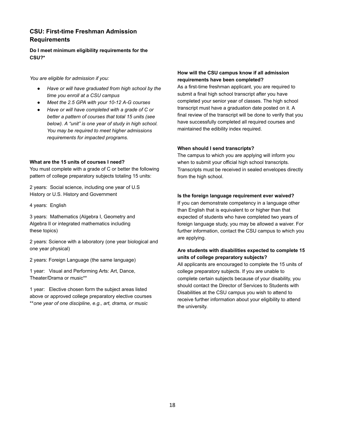### **CSU: First-time Freshman Admission Requirements**

**Do I meet minimum eligibility requirements for the CSU?\***

*You are eligible for admission if you:*

- *● Have or will have graduated from high school by the time you enroll at a CSU campus*
- *● Meet the 2.5 GPA with your 10-12 A-G courses*
- *● Have or will have completed with a grade of C or better a pattern of courses that total 15 units (see below). A "unit" is one year of study in high school. You may be required to meet higher admissions requirements for impacted programs.*

#### **What are the 15 units of courses I need?**

You must complete with a grade of C or better the following pattern of college preparatory subjects totaling 15 units:

2 years: Social science, including one year of U.S History or U.S. History and Government

4 years: English

3 years: Mathematics (Algebra I, Geometry and Algebra II or integrated mathematics including these topics)

2 years: Science with a laboratory (one year biological and one year physical)

2 years: Foreign Language (the same language)

1 year: Visual and Performing Arts: Art, Dance, Theater/Drama or music\*\*

1 year: Elective chosen form the subject areas listed above or approved college preparatory elective courses \*\**one year of one discipline, e.g., art, drama, or music*

#### **How will the CSU campus know if all admission requirements have been completed?**

As a first-time freshman applicant, you are required to submit a final high school transcript after you have completed your senior year of classes. The high school transcript must have a graduation date posted on it. A final review of the transcript will be done to verify that you have successfully completed all required courses and maintained the edibility index required.

#### **When should I send transcripts?**

The campus to which you are applying will inform you when to submit your official high school transcripts. Transcripts must be received in sealed envelopes directly from the high school.

#### **Is the foreign language requirement ever waived?**

If you can demonstrate competency in a language other than English that is equivalent to or higher than that expected of students who have completed two years of foreign language study, you may be allowed a waiver. For further information, contact the CSU campus to which you are applying.

#### **Are students with disabilities expected to complete 15 units of college preparatory subjects?**

All applicants are encouraged to complete the 15 units of college preparatory subjects. If you are unable to complete certain subjects because of your disability, you should contact the Director of Services to Students with Disabilities at the CSU campus you wish to attend to receive further information about your eligibility to attend the university.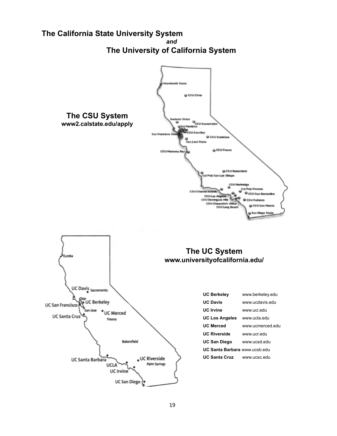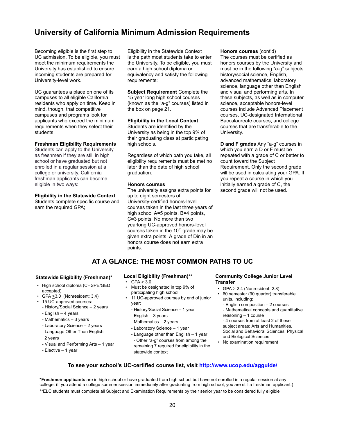### **University of California Minimum Admission Requirements**

Becoming eligible is the first step to UC admission. To be eligible, you must meet the minimum requirements the University has established to ensure incoming students are prepared for University-level work.

UC guarantees a place on one of its campuses to all eligible California residents who apply on time. Keep in mind, though, that competitive campuses and programs look for applicants who exceed the minimum requirements when they select their students.

#### **Freshman Eligibility Requirements**

Students can apply to the University as freshmen if they are still in high school or have graduated but not enrolled in a regular session at a college or university. California freshman applicants can become eligible in two ways:

#### **Eligibility in the Statewide Context**

Students complete specific course and earn the required GPA;

Eligibility in the Statewide Context is the path most students take to enter the University. To be eligible, you must earn a high school diploma or equivalency and satisfy the following requirements:

**Subject Requirement** Complete the 15 year long high school courses (known as the "a-g" courses) listed in the box on page 21.

#### **Eligibility in the Local Context**

Students are identified by the University as being in the top 9% of their graduating class at participating high schools.

Regardless of which path you take, all eligibility requirements must be met no later than the date of high school graduation.

#### **Honors courses**

The university assigns extra points for up to eight semesters of University-certified honors-level courses taken in the last three years of high school A=5 points, B=4 points, C=3 points. No more than two yearlong UC-approved honors-level courses taken in the  $10<sup>th</sup>$  grade may be given extra points. A grade of Din in an honors course does not earn extra points.

**Honors courses** (cont'd)

The courses must be certified as honors courses by the University and must be in the following "a-g" subjects: history/social science, English, advanced mathematics, laboratory science, language other than English and visual and performing arts. In these subjects, as well as in computer science, acceptable honors-level courses include Advanced Placement courses, UC-designated International Baccalaureate courses, and college courses that are transferable to the University.

**D and F grades** Any "a-g" courses in which you earn a D or F must be repeated with a grade of C or better to count toward the Subject Requirement. Only the second grade will be used in calculating your GPA. If you repeat a course in which you initially earned a grade of C, the second grade will not be used.

### **AT A GLANCE: THE MOST COMMON PATHS TO UC**

#### **Statewide Eligibility (Freshman)\***

- High school diploma (CHSPE/GED accepted)
- GPA >3.0 (Nonresident: 3.4)
- 15 UC-approved courses: - History/Social Science – 2 years
	- English 4 years
	- Mathematics 3 years
	- Laboratory Science 2 years
	- Language Other Than English –
	- 2 years
	- Visual and Performing Arts 1 year
	- Elective 1 year

#### **Local Eligibility (Freshman)\*\***

- $GPA \geq 3.0$
- Must be designated in top 9% of participating high school
- 11 UC-approved courses by end of junior year:
	- History/Social Science 1 year
	- English 3 years
	- Mathematics 2 years
	- Laboratory Science 1 year
	- Language other than English 1 year - Other "a-g" courses from among the remaining 7 required for eligibility in the statewide context

#### **Community College Junior Level Transfer**

- $GPA \geq 2.4$  (Nonresident: 2.8)
- 60 semester (90 quarter) transferable units, including:
- English composition 2 courses - Mathematical concepts and quantitative reasoning – 1 course

- 4 courses from at least 2 of these subject areas: Arts and Humanities, Social and Behavioral Sciences, Physical and Biological Sciences

• No examination requirement

#### **To see your school's UC-certified course list, visit http://www.ucop.edu/agguide/**

**\*Freshmen applicants** are in high school or have graduated from high school but have not enrolled in a regular session at any college. (lf you attend a college summer session immediately after graduating from high school, you are still a freshman applicant.) \*\*ELC students must complete all Subject and Examination Requirements by their senior year to be considered fully eligible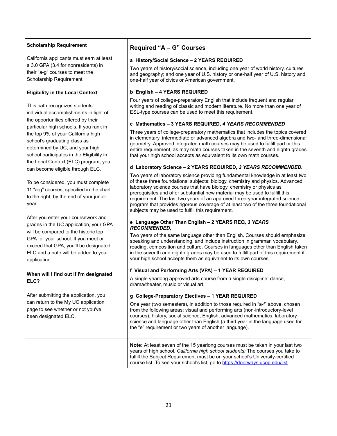#### **Scholarship Requirement**

California applicants must earn at least a 3.0 GPA (3.4 for nonresidents) in their "a-g" courses to meet the Scholarship Requirement.

#### **Eligibility in the Local Context**

This path recognizes students' individual accomplishments in light of the opportunities offered by their particular high schools. If you rank in the top 9% of your California high school's graduating class as determined by UC, and your high school participates in the Eligibility in the Local Context (ELC) program, you can become eligible through ELC.

To be considered, you must complete 11 "a-g" courses, specified in the chart to the right, by the end of your junior year.

After you enter your coursework and grades in the UC application, your GPA will be compared to the historic top GPA for your school. If you meet or exceed that GPA, you'll be designated ELC and a note will be added to your application.

#### **When will I find out if I'm designated ELC?**

After submitting the application, you can return to the My UC application page to see whether or not you've been designated ELC.

### **Required "A – G" Courses**

#### **a History/Social Science – 2 YEARS REQUIRED**

Two years of history/social science, including one year of world history, cultures and geography; and one year of U.S. history or one-half year of U.S. history and one-half year of civics or American government.

#### **b English – 4 YEARS REQUIRED**

Four years of college-preparatory English that include frequent and regular writing and reading of classic and modern literature. No more than one year of ESL-type courses can be used to meet this requirement.

#### **c Mathematics – 3 YEARS REQUIRED,** *4 YEARS RECOMMENDED*

Three years of college-preparatory mathematics that includes the topics covered in elementary, intermediate or advanced algebra and two- and three-dimensional geometry. Approved integrated math courses may be used to fulfill part or this entire requirement, as may math courses taken in the seventh and eighth grades that your high school accepts as equivalent to its own math courses.

#### **d Laboratory Science – 2 YEARS REQUIRED,** *3 YEARS RECOMMENDED.*

Two years of laboratory science providing fundamental knowledge in at least two of these three foundational subjects: biology, chemistry and physics. Advanced laboratory science courses that have biology, chemistry or physics as prerequisites and offer substantial new material may be used to fulfill this requirement. The last two years of an approved three-year integrated science program that provides rigorous coverage of at least two of the three foundational subjects may be used to fulfill this requirement.

#### **e Language Other Than English – 2 YEARS REQ,** *3 YEARS RECOMMENDED.*

Two years of the same language other than English. Courses should emphasize speaking and understanding, and include instruction in grammar, vocabulary, reading, composition and culture. Courses in languages other than English taken in the seventh and eighth grades may be used to fulfill part of this requirement if your high school accepts them as equivalent to its own courses.

#### **f Visual and Performing Arts (VPA) – 1 YEAR REQUIRED**

A single yearlong approved arts course from a single discipline: dance, drama/theater, music or visual art.

#### **g College-Preparatory Electives – 1 YEAR REQUIRED**

One year (two semesters), in addition to those required in "a-f" above, chosen from the following areas: visual and performing arts (non-introductory-level courses), history, social science, English, advanced mathematics, laboratory science and language other than English (a third year in the language used for the "e" requirement or two years of another language).

**Note:** At least seven of the 15 yearlong courses must be taken in your last two years of high school. *California high school students:* The courses you take to fulfill the Subject Requirement must be on your school's University-certified course list. To see your school's list, go to https://doorways.ucop.edu/list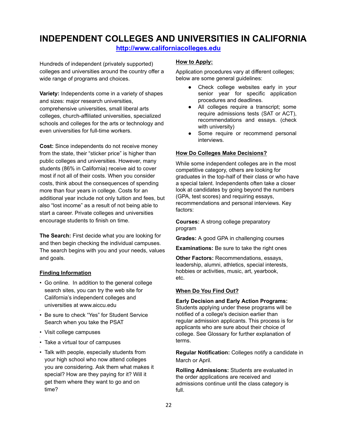## **INDEPENDENT COLLEGES AND UNIVERSITIES IN CALIFORNIA**

**http://www.californiacolleges.edu**

Hundreds of independent (privately supported) colleges and universities around the country offer a wide range of programs and choices.

**Variety:** Independents come in a variety of shapes and sizes: major research universities, comprehensive universities, small liberal arts colleges, church-affiliated universities, specialized schools and colleges for the arts or technology and even universities for full-time workers.

**Cost:** Since independents do not receive money from the state, their "sticker price" is higher than public colleges and universities. However, many students (86% in California) receive aid to cover most if not all of their costs. When you consider costs, think about the consequences of spending more than four years in college. Costs for an additional year include not only tuition and fees, but also "lost income" as a result of not being able to start a career. Private colleges and universities encourage students to finish on time.

**The Search:** First decide what you are looking for and then begin checking the individual campuses. The search begins with you and your needs, values and goals.

#### **Finding Information**

•

•

•

- Go online. In addition to the general college search sites, you can try the web site for California's independent colleges and universities at www.aiccu.edu
- Be sure to check "Yes" for Student Service Search when you take the PSAT
- Visit college campuses
- Take a virtual tour of campuses
- Talk with people, especially students from your high school who now attend colleges you are considering. Ask them what makes it special? How are they paying for it? Will it get them where they want to go and on time?

#### **How to Apply:**

Application procedures vary at different colleges; below are some general guidelines:

- Check college websites early in your senior year for specific application procedures and deadlines.
- All colleges require a transcript; some require admissions tests (SAT or ACT), recommendations and essays. (check with university)
- Some require or recommend personal interviews.

#### **How Do Colleges Make Decisions?**

While some independent colleges are in the most competitive category, others are looking for graduates in the top-half of their class or who have a special talent. Independents often take a closer look at candidates by going beyond the numbers (GPA, test scores) and requiring essays, recommendations and personal interviews. Key factors:

**Courses:** A strong college preparatory program

**Grades:** A good GPA in challenging courses

**Examinations:** Be sure to take the right ones

**Other Factors:** Recommendations, essays, leadership, alumni, athletics, special interests, hobbies or activities, music, art, yearbook, etc.

#### **When Do You Find Out?**

#### **Early Decision and Early Action Programs:**

Students applying under these programs will be notified of a college's decision earlier than regular admission applicants. This process is for applicants who are sure about their choice of college. See Glossary for further explanation of terms.

**Regular Notification:** Colleges notify a candidate in March or April.

**Rolling Admissions:** Students are evaluated in the order applications are received and admissions continue until the class category is full.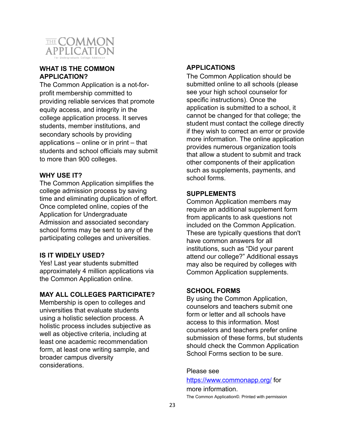

### **WHAT IS THE COMMON APPLICATION?**

The Common Application is a not-forprofit membership committed to providing reliable services that promote equity access, and integrity in the college application process. It serves students, member institutions, and secondary schools by providing applications – online or in print – that students and school officials may submit to more than 900 colleges.

### **WHY USE IT?**

The Common Application simplifies the college admission process by saving time and eliminating duplication of effort. Once completed online, copies of the Application for Undergraduate Admission and associated secondary school forms may be sent to any of the participating colleges and universities.

### **IS IT WIDELY USED?**

Yes! Last year students submitted approximately 4 million applications via the Common Application online.

### **MAY ALL COLLEGES PARTICIPATE?**

Membership is open to colleges and universities that evaluate students using a holistic selection process. A holistic process includes subjective as well as objective criteria, including at least one academic recommendation form, at least one writing sample, and broader campus diversity considerations.

### **APPLICATIONS**

The Common Application should be submitted online to all schools (please see your high school counselor for specific instructions). Once the application is submitted to a school, it cannot be changed for that college; the student must contact the college directly if they wish to correct an error or provide more information. The online application provides numerous organization tools that allow a student to submit and track other components of their application such as supplements, payments, and school forms.

### **SUPPLEMENTS**

Common Application members may require an additional supplement form from applicants to ask questions not included on the Common Application. These are typically questions that don't have common answers for all institutions, such as "Did your parent attend our college?" Additional essays may also be required by colleges with Common Application supplements.

### **SCHOOL FORMS**

By using the Common Application, counselors and teachers submit one form or letter and all schools have access to this information. Most counselors and teachers prefer online submission of these forms, but students should check the Common Application School Forms section to be sure.

### Please see

https://www.commonapp.org/ for

more information. The Common Application©. Printed with permission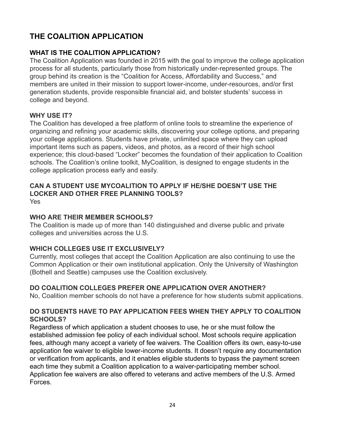# **THE COALITION APPLICATION**

### **WHAT IS THE COALITION APPLICATION?**

The Coalition Application was founded in 2015 with the goal to improve the college application process for all students, particularly those from historically under-represented groups. The group behind its creation is the "Coalition for Access, Affordability and Success," and members are united in their mission to support lower-income, under-resources, and/or first generation students, provide responsible financial aid, and bolster students' success in college and beyond.

### **WHY USE IT?**

The Coalition has developed a free platform of online tools to streamline the experience of organizing and refining your academic skills, discovering your college options, and preparing your college applications. Students have private, unlimited space where they can upload important items such as papers, videos, and photos, as a record of their high school experience; this cloud-based "Locker" becomes the foundation of their application to Coalition schools. The Coalition's online toolkit, MyCoalition, is designed to engage students in the college application process early and easily.

# **CAN A STUDENT USE MYCOALITION TO APPLY IF HE/SHE DOESN'T USE THE LOCKER AND OTHER FREE PLANNING TOOLS?**

Yes

### **WHO ARE THEIR MEMBER SCHOOLS?**

The Coalition is made up of more than 140 distinguished and diverse public and private colleges and universities across the U.S.

### **WHICH COLLEGES USE IT EXCLUSIVELY?**

Currently, most colleges that accept the Coalition Application are also continuing to use the Common Application or their own institutional application. Only the University of Washington (Bothell and Seattle) campuses use the Coalition exclusively.

### **DO COALITION COLLEGES PREFER ONE APPLICATION OVER ANOTHER?**

No, Coalition member schools do not have a preference for how students submit applications.

### **DO STUDENTS HAVE TO PAY APPLICATION FEES WHEN THEY APPLY TO COALITION SCHOOLS?**

Regardless of which application a student chooses to use, he or she must follow the established admission fee policy of each individual school. Most schools require application fees, although many accept a variety of fee waivers. The Coalition offers its own, easy-to-use application fee waiver to eligible lower-income students. It doesn't require any documentation or verification from applicants, and it enables eligible students to bypass the payment screen each time they submit a Coalition application to a waiver-participating member school. Application fee waivers are also offered to veterans and active members of the U.S. Armed Forces.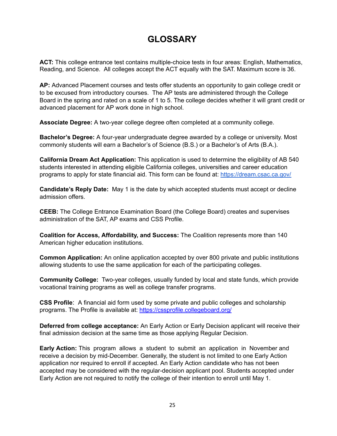# **GLOSSARY**

**ACT:** This college entrance test contains multiple-choice tests in four areas: English, Mathematics, Reading, and Science. All colleges accept the ACT equally with the SAT. Maximum score is 36.

**AP:** Advanced Placement courses and tests offer students an opportunity to gain college credit or to be excused from introductory courses. The AP tests are administered through the College Board in the spring and rated on a scale of 1 to 5. The college decides whether it will grant credit or advanced placement for AP work done in high school.

**Associate Degree:** A two-year college degree often completed at a community college.

**Bachelor's Degree:** A four-year undergraduate degree awarded by a college or university. Most commonly students will earn a Bachelor's of Science (B.S.) or a Bachelor's of Arts (B.A.).

**California Dream Act Application:** This application is used to determine the eligibility of AB 540 students interested in attending eligible California colleges, universities and career education programs to apply for state financial aid. This form can be found at: https://dream.csac.ca.gov/

**Candidate's Reply Date:** May 1 is the date by which accepted students must accept or decline admission offers.

**CEEB:** The College Entrance Examination Board (the College Board) creates and supervises administration of the SAT, AP exams and CSS Profile.

**Coalition for Access, Affordability, and Success:** The Coalition represents more than 140 American higher education institutions.

**Common Application:** An online application accepted by over 800 private and public institutions allowing students to use the same application for each of the participating colleges.

**Community College:** Two-year colleges, usually funded by local and state funds, which provide vocational training programs as well as college transfer programs.

**CSS Profile**: A financial aid form used by some private and public colleges and scholarship programs. The Profile is available at: https://cssprofile.collegeboard.org/

**Deferred from college acceptance:** An Early Action or Early Decision applicant will receive their final admission decision at the same time as those applying Regular Decision.

**Early Action:** This program allows a student to submit an application in November and receive a decision by mid-December. Generally, the student is not limited to one Early Action application nor required to enroll if accepted. An Early Action candidate who has not been accepted may be considered with the regular-decision applicant pool. Students accepted under Early Action are not required to notify the college of their intention to enroll until May 1.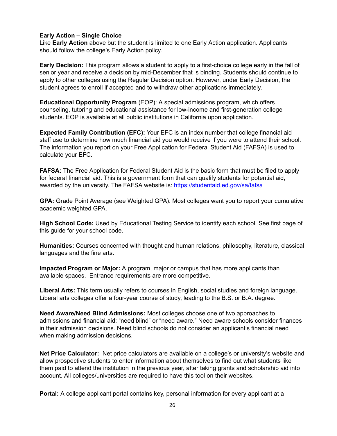### **Early Action – Single Choice**

Like **Early Action** above but the student is limited to one Early Action application. Applicants should follow the college's Early Action policy.

**Early Decision:** This program allows a student to apply to a first-choice college early in the fall of senior year and receive a decision by mid-December that is binding. Students should continue to apply to other colleges using the Regular Decision option. However, under Early Decision, the student agrees to enroll if accepted and to withdraw other applications immediately.

**Educational Opportunity Program** (EOP): A special admissions program, which offers counseling, tutoring and educational assistance for low-income and first-generation college students. EOP is available at all public institutions in California upon application.

**Expected Family Contribution (EFC):** Your EFC is an index number that college financial aid staff use to determine how much financial aid you would receive if you were to attend their school. The information you report on your Free Application for Federal Student Aid (FAFSA) is used to calculate your EFC.

**FAFSA:** The Free Application for Federal Student Aid is the basic form that must be filed to apply for federal financial aid. This is a government form that can qualify students for potential aid, awarded by the university. The FAFSA website is: https://studentaid.ed.gov/sa/fafsa

**GPA:** Grade Point Average (see Weighted GPA). Most colleges want you to report your cumulative academic weighted GPA.

**High School Code:** Used by Educational Testing Service to identify each school. See first page of this guide for your school code.

**Humanities:** Courses concerned with thought and human relations, philosophy, literature, classical languages and the fine arts.

**Impacted Program or Major:** A program, major or campus that has more applicants than available spaces. Entrance requirements are more competitive.

**Liberal Arts:** This term usually refers to courses in English, social studies and foreign language. Liberal arts colleges offer a four-year course of study, leading to the B.S. or B.A. degree.

**Need Aware/Need Blind Admissions:** Most colleges choose one of two approaches to admissions and financial aid: "need blind" or "need aware." Need aware schools consider finances in their admission decisions. Need blind schools do not consider an applicant's financial need when making admission decisions.

**Net Price Calculator:** Net price calculators are available on a college's or university's website and allow prospective students to enter information about themselves to find out what students like them paid to attend the institution in the previous year, after taking grants and scholarship aid into account. All colleges/universities are required to have this tool on their websites.

**Portal:** A college applicant portal contains key, personal information for every applicant at a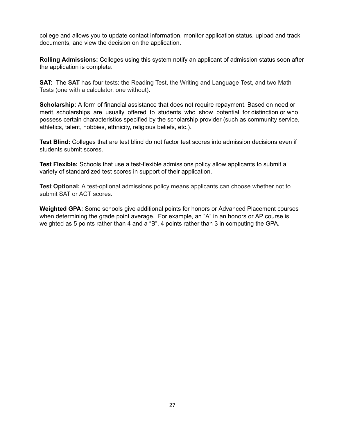college and allows you to update contact information, monitor application status, upload and track documents, and view the decision on the application.

**Rolling Admissions:** Colleges using this system notify an applicant of admission status soon after the application is complete.

**SAT:** The **SAT** has four tests: the Reading Test, the Writing and Language Test, and two Math Tests (one with a calculator, one without).

**Scholarship:** A form of financial assistance that does not require repayment. Based on need or merit, scholarships are usually offered to students who show potential for distinction or who possess certain characteristics specified by the scholarship provider (such as community service, athletics, talent, hobbies, ethnicity, religious beliefs, etc.).

**Test Blind:** Colleges that are test blind do not factor test scores into admission decisions even if students submit scores.

**Test Flexible:** Schools that use a test-flexible admissions policy allow applicants to submit a variety of standardized test scores in support of their application.

**Test Optional:** A test-optional admissions policy means applicants can choose whether not to submit SAT or ACT scores.

**Weighted GPA:** Some schools give additional points for honors or Advanced Placement courses when determining the grade point average. For example, an "A" in an honors or AP course is weighted as 5 points rather than 4 and a "B", 4 points rather than 3 in computing the GPA.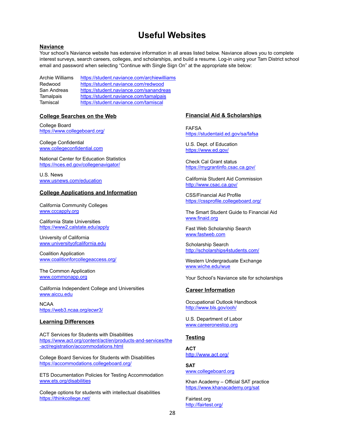# **Useful Websites**

#### **Naviance**

Your school's Naviance website has extensive information in all areas listed below. Naviance allows you to complete interest surveys, search careers, colleges, and scholarships, and build a resume. Log-in using your Tam District school email and password when selecting "Continue with Single Sign On" at the appropriate site below:

Archie Williams https://student.naviance.com/archiewilliams Redwood https://student.naviance.com/redwood San Andreas https://student.naviance.com/sanandreas Tamalpais https://student.naviance.com/tamalpais Tamiscal https://student.naviance.com/tamiscal

#### **College Searches on the Web**

College Board https://www.collegeboard.org/

College Confidential www.collegeconfidential.com

National Center for Education Statistics https://nces.ed.gov/collegenavigator/

U.S. News www.usnews.com/education

#### **College Applications and Information**

California Community Colleges www.cccapply.org

California State Universities https://www2.calstate.edu/apply

University of California www.universityofcalifornia.edu

Coalition Application www.coalitionforcollegeaccess.org/

The Common Application www.commonapp.org

California Independent College and Universities www.aiccu.edu

NCAA https://web3.ncaa.org/ecwr3/

#### **Learning Differences**

ACT Services for Students with Disabilities https://www.act.org/content/act/en/products-and-services/the -act/registration/accommodations.html

College Board Services for Students with Disabilities https://accommodations.collegeboard.org/

ETS Documentation Policies for Testing Accommodation www.ets.org/disabilities

College options for students with intellectual disabilities https://thinkcollege.net/

#### **Financial Aid & Scholarships**

FAFSA https://studentaid.ed.gov/sa/fafsa

U.S. Dept. of Education https://www.ed.gov/

Check Cal Grant status https://mygrantinfo.csac.ca.gov/

California Student Aid Commission http://www.csac.ca.gov/

CSS/Financial Aid Profile https://cssprofile.collegeboard.org/

The Smart Student Guide to Financial Aid www.finaid.org

Fast Web Scholarship Search www.fastweb.com

Scholarship Search http://scholarships4students.com/

Western Undergraduate Exchange www.wiche.edu/wue

Your School's Naviance site for scholarships

#### **Career Information**

Occupational Outlook Handbook http://www.bls.gov/ooh/

U.S. Department of Labor www.careeronestop.org

#### **Testing**

**ACT** http://www.act.org/

**SAT** www.collegeboard.org

Khan Academy – Official SAT practice https://www.khanacademy.org/sat

Fairtest.org http://fairtest.org/